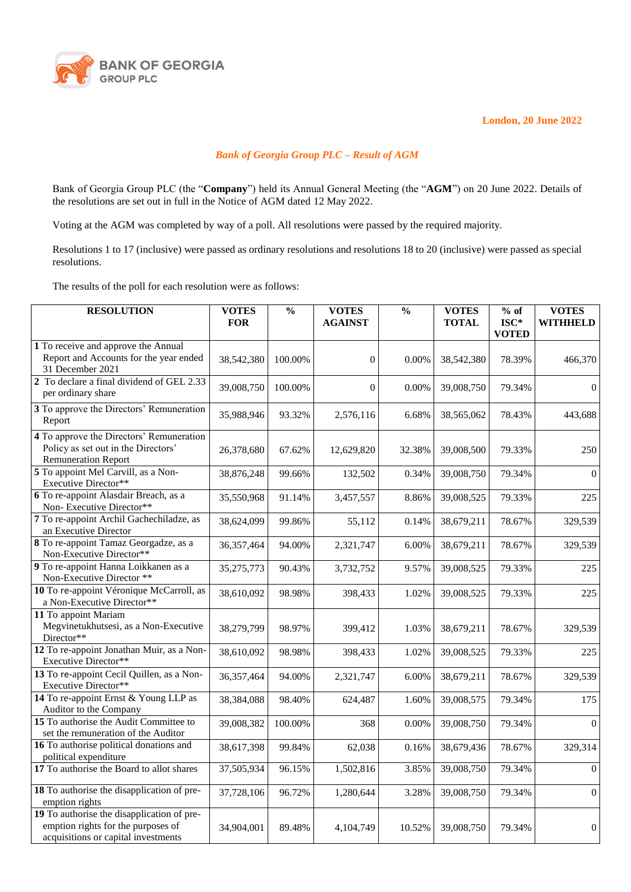

**London, 20 June 2022**

## *Bank of Georgia Group PLC – Result of AGM*

Bank of Georgia Group PLC (the "**Company**") held its Annual General Meeting (the "**AGM**") on 20 June 2022. Details of the resolutions are set out in full in the Notice of AGM dated 12 May 2022.

Voting at the AGM was completed by way of a poll. All resolutions were passed by the required majority.

Resolutions 1 to 17 (inclusive) were passed as ordinary resolutions and resolutions 18 to 20 (inclusive) were passed as special resolutions.

The results of the poll for each resolution were as follows:

| <b>RESOLUTION</b>                                                                                                       | <b>VOTES</b><br><b>FOR</b> | $\frac{0}{0}$ | <b>VOTES</b><br><b>AGAINST</b> | $\frac{0}{0}$ | <b>VOTES</b><br><b>TOTAL</b> | $%$ of<br>$ISC*$<br><b>VOTED</b> | <b>VOTES</b><br><b>WITHHELD</b> |
|-------------------------------------------------------------------------------------------------------------------------|----------------------------|---------------|--------------------------------|---------------|------------------------------|----------------------------------|---------------------------------|
| 1 To receive and approve the Annual<br>Report and Accounts for the year ended<br>31 December 2021                       | 38,542,380                 | 100.00%       | $\theta$                       | 0.00%         | 38,542,380                   | 78.39%                           | 466,370                         |
| 2 To declare a final dividend of GEL 2.33<br>per ordinary share                                                         | 39,008,750                 | 100.00%       | $\mathbf{0}$                   | 0.00%         | 39,008,750                   | 79.34%                           | $\boldsymbol{0}$                |
| 3 To approve the Directors' Remuneration<br>Report                                                                      | 35,988,946                 | 93.32%        | 2,576,116                      | 6.68%         | 38,565,062                   | 78.43%                           | 443,688                         |
| 4 To approve the Directors' Remuneration<br>Policy as set out in the Directors'<br><b>Remuneration Report</b>           | 26,378,680                 | 67.62%        | 12,629,820                     | 32.38%        | 39,008,500                   | 79.33%                           | 250                             |
| 5 To appoint Mel Carvill, as a Non-<br>Executive Director**                                                             | 38,876,248                 | 99.66%        | 132,502                        | 0.34%         | 39,008,750                   | 79.34%                           | $\boldsymbol{0}$                |
| 6 To re-appoint Alasdair Breach, as a<br>Non-Executive Director**                                                       | 35,550,968                 | 91.14%        | 3,457,557                      | 8.86%         | 39,008,525                   | 79.33%                           | 225                             |
| 7 To re-appoint Archil Gachechiladze, as<br>an Executive Director                                                       | 38,624,099                 | 99.86%        | 55,112                         | 0.14%         | 38,679,211                   | 78.67%                           | 329,539                         |
| 8 To re-appoint Tamaz Georgadze, as a<br>Non-Executive Director**                                                       | 36, 357, 464               | 94.00%        | 2,321,747                      | 6.00%         | 38,679,211                   | 78.67%                           | 329,539                         |
| 9 To re-appoint Hanna Loikkanen as a<br>Non-Executive Director **                                                       | 35,275,773                 | 90.43%        | 3,732,752                      | 9.57%         | 39,008,525                   | 79.33%                           | 225                             |
| 10 To re-appoint Véronique McCarroll, as<br>a Non-Executive Director**                                                  | 38,610,092                 | 98.98%        | 398,433                        | 1.02%         | 39,008,525                   | 79.33%                           | 225                             |
| 11 To appoint Mariam<br>Megvinetukhutsesi, as a Non-Executive<br>Director**                                             | 38,279,799                 | 98.97%        | 399,412                        | 1.03%         | 38,679,211                   | 78.67%                           | 329,539                         |
| 12 To re-appoint Jonathan Muir, as a Non-<br>Executive Director**                                                       | 38,610,092                 | 98.98%        | 398,433                        | 1.02%         | 39,008,525                   | 79.33%                           | 225                             |
| 13 To re-appoint Cecil Quillen, as a Non-<br>Executive Director**                                                       | 36, 357, 464               | 94.00%        | 2,321,747                      | 6.00%         | 38,679,211                   | 78.67%                           | 329,539                         |
| 14 To re-appoint Ernst & Young LLP as<br>Auditor to the Company                                                         | 38,384,088                 | 98.40%        | 624,487                        | 1.60%         | 39,008,575                   | 79.34%                           | 175                             |
| 15 To authorise the Audit Committee to<br>set the remuneration of the Auditor                                           | 39,008,382                 | 100.00%       | 368                            | 0.00%         | 39,008,750                   | 79.34%                           | $\Omega$                        |
| 16 To authorise political donations and<br>political expenditure                                                        | 38,617,398                 | 99.84%        | 62,038                         | 0.16%         | 38,679,436                   | 78.67%                           | 329,314                         |
| 17 To authorise the Board to allot shares                                                                               | 37,505,934                 | 96.15%        | 1,502,816                      | 3.85%         | 39,008,750                   | 79.34%                           | $\Omega$                        |
| 18 To authorise the disapplication of pre-<br>emption rights                                                            | 37,728,106                 | 96.72%        | 1,280,644                      | 3.28%         | 39,008,750                   | 79.34%                           | $\boldsymbol{0}$                |
| 19 To authorise the disapplication of pre-<br>emption rights for the purposes of<br>acquisitions or capital investments | 34,904,001                 | 89.48%        | 4,104,749                      | 10.52%        | 39,008,750                   | 79.34%                           | $\overline{0}$                  |